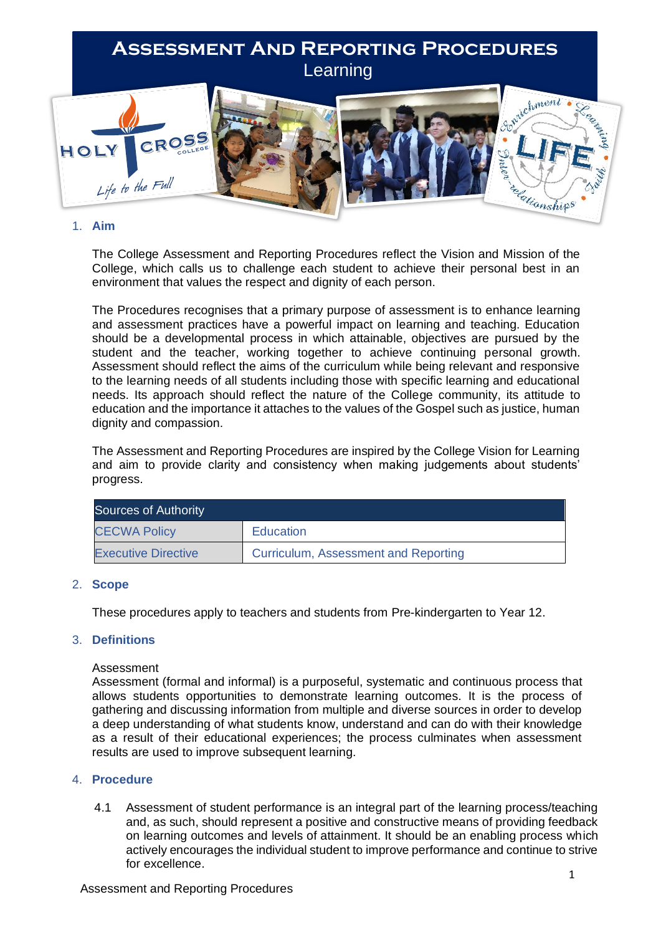# **Assessment And Reporting Procedures** Learning



# 1. **Aim**

The College Assessment and Reporting Procedures reflect the Vision and Mission of the College, which calls us to challenge each student to achieve their personal best in an environment that values the respect and dignity of each person.

The Procedures recognises that a primary purpose of assessment is to enhance learning and assessment practices have a powerful impact on learning and teaching. Education should be a developmental process in which attainable, objectives are pursued by the student and the teacher, working together to achieve continuing personal growth. Assessment should reflect the aims of the curriculum while being relevant and responsive to the learning needs of all students including those with specific learning and educational needs. Its approach should reflect the nature of the College community, its attitude to education and the importance it attaches to the values of the Gospel such as justice, human dignity and compassion.

The Assessment and Reporting Procedures are inspired by the College Vision for Learning and aim to provide clarity and consistency when making judgements about students' progress.

| <b>Sources of Authority</b> |                                      |  |  |  |
|-----------------------------|--------------------------------------|--|--|--|
| <b>CECWA Policy</b>         | <b>Education</b>                     |  |  |  |
| <b>Executive Directive</b>  | Curriculum, Assessment and Reporting |  |  |  |

# 2. **Scope**

These procedures apply to teachers and students from Pre-kindergarten to Year 12.

# 3. **Definitions**

## Assessment

Assessment (formal and informal) is a purposeful, systematic and continuous process that allows students opportunities to demonstrate learning outcomes. It is the process of gathering and discussing information from multiple and diverse sources in order to develop a deep understanding of what students know, understand and can do with their knowledge as a result of their educational experiences; the process culminates when assessment results are used to improve subsequent learning.

# 4. **Procedure**

4.1 Assessment of student performance is an integral part of the learning process/teaching and, as such, should represent a positive and constructive means of providing feedback on learning outcomes and levels of attainment. It should be an enabling process which actively encourages the individual student to improve performance and continue to strive for excellence.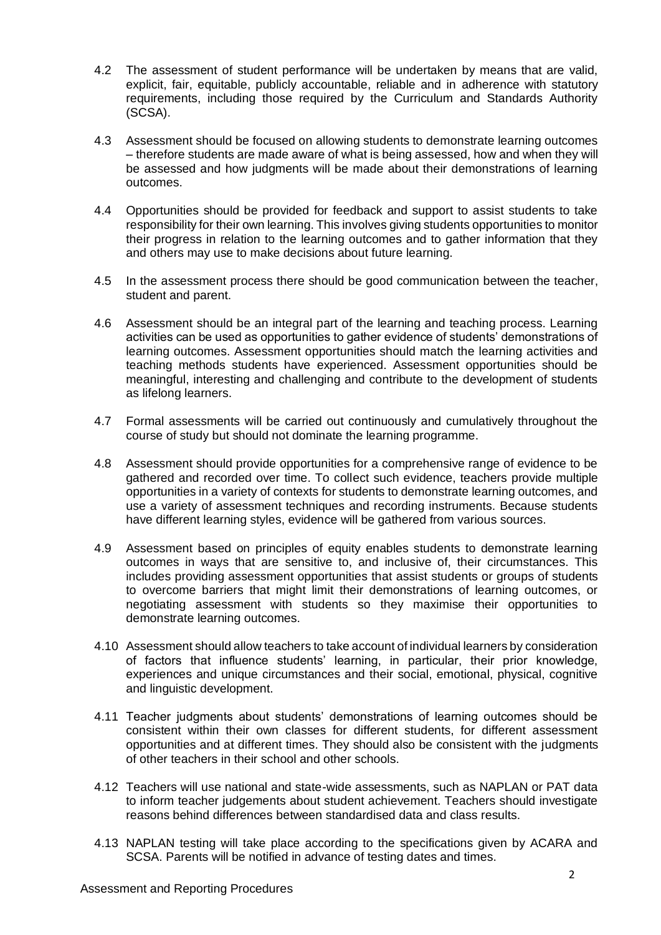- 4.2 The assessment of student performance will be undertaken by means that are valid, explicit, fair, equitable, publicly accountable, reliable and in adherence with statutory requirements, including those required by the Curriculum and Standards Authority (SCSA).
- 4.3 Assessment should be focused on allowing students to demonstrate learning outcomes – therefore students are made aware of what is being assessed, how and when they will be assessed and how judgments will be made about their demonstrations of learning outcomes.
- 4.4 Opportunities should be provided for feedback and support to assist students to take responsibility for their own learning. This involves giving students opportunities to monitor their progress in relation to the learning outcomes and to gather information that they and others may use to make decisions about future learning.
- 4.5 In the assessment process there should be good communication between the teacher, student and parent.
- 4.6 Assessment should be an integral part of the learning and teaching process. Learning activities can be used as opportunities to gather evidence of students' demonstrations of learning outcomes. Assessment opportunities should match the learning activities and teaching methods students have experienced. Assessment opportunities should be meaningful, interesting and challenging and contribute to the development of students as lifelong learners.
- 4.7 Formal assessments will be carried out continuously and cumulatively throughout the course of study but should not dominate the learning programme.
- 4.8 Assessment should provide opportunities for a comprehensive range of evidence to be gathered and recorded over time. To collect such evidence, teachers provide multiple opportunities in a variety of contexts for students to demonstrate learning outcomes, and use a variety of assessment techniques and recording instruments. Because students have different learning styles, evidence will be gathered from various sources.
- 4.9 Assessment based on principles of equity enables students to demonstrate learning outcomes in ways that are sensitive to, and inclusive of, their circumstances. This includes providing assessment opportunities that assist students or groups of students to overcome barriers that might limit their demonstrations of learning outcomes, or negotiating assessment with students so they maximise their opportunities to demonstrate learning outcomes.
- 4.10 Assessment should allow teachers to take account of individual learners by consideration of factors that influence students' learning, in particular, their prior knowledge, experiences and unique circumstances and their social, emotional, physical, cognitive and linguistic development.
- 4.11 Teacher judgments about students' demonstrations of learning outcomes should be consistent within their own classes for different students, for different assessment opportunities and at different times. They should also be consistent with the judgments of other teachers in their school and other schools.
- 4.12 Teachers will use national and state-wide assessments, such as NAPLAN or PAT data to inform teacher judgements about student achievement. Teachers should investigate reasons behind differences between standardised data and class results.
- 4.13 NAPLAN testing will take place according to the specifications given by ACARA and SCSA. Parents will be notified in advance of testing dates and times.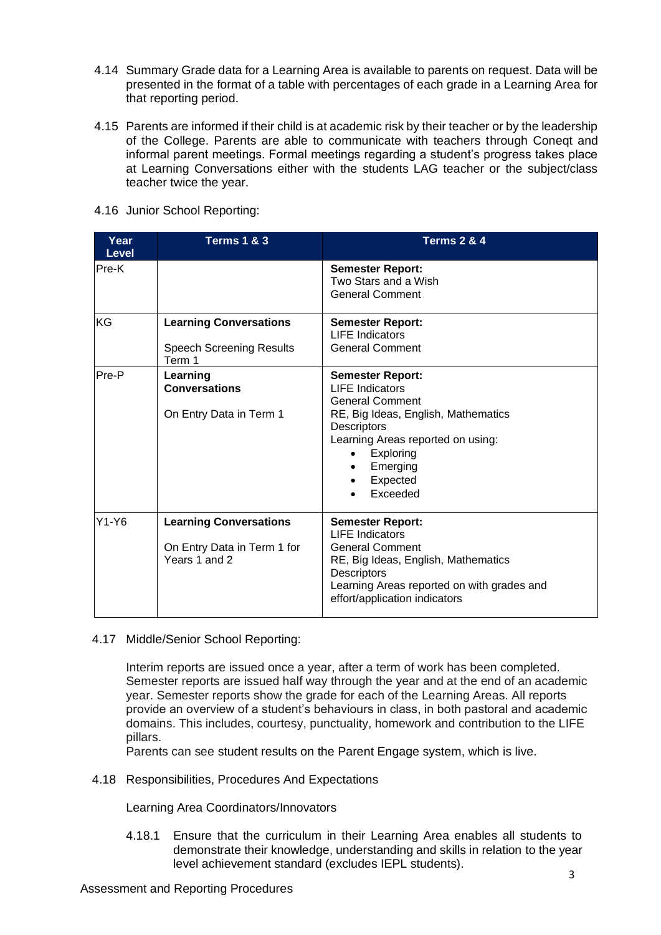- 4.14 Summary Grade data for a Learning Area is available to parents on request. Data will be presented in the format of a table with percentages of each grade in a Learning Area for that reporting period.
- 4.15 Parents are informed if their child is at academic risk by their teacher or by the leadership of the College. Parents are able to communicate with teachers through Coneqt and informal parent meetings. Formal meetings regarding a student's progress takes place at Learning Conversations either with the students LAG teacher or the subject/class teacher twice the year.

| Year<br><b>Level</b> | <b>Terms 1 &amp; 3</b>                                                        | <b>Terms 2 &amp; 4</b>                                                                                                                                                                                                         |  |  |
|----------------------|-------------------------------------------------------------------------------|--------------------------------------------------------------------------------------------------------------------------------------------------------------------------------------------------------------------------------|--|--|
| Pre-K                |                                                                               | <b>Semester Report:</b><br>Two Stars and a Wish<br><b>General Comment</b>                                                                                                                                                      |  |  |
| KG                   | <b>Learning Conversations</b><br><b>Speech Screening Results</b><br>Term 1    | <b>Semester Report:</b><br><b>LIFE Indicators</b><br><b>General Comment</b>                                                                                                                                                    |  |  |
| Pre-P                | Learning<br><b>Conversations</b><br>On Entry Data in Term 1                   | <b>Semester Report:</b><br><b>LIFE Indicators</b><br><b>General Comment</b><br>RE, Big Ideas, English, Mathematics<br><b>Descriptors</b><br>Learning Areas reported on using:<br>Exploring<br>Emerging<br>Expected<br>Exceeded |  |  |
| $Y1-Y6$              | <b>Learning Conversations</b><br>On Entry Data in Term 1 for<br>Years 1 and 2 | <b>Semester Report:</b><br><b>LIFE</b> Indicators<br><b>General Comment</b><br>RE, Big Ideas, English, Mathematics<br><b>Descriptors</b><br>Learning Areas reported on with grades and<br>effort/application indicators        |  |  |

4.16 Junior School Reporting:

# 4.17 Middle/Senior School Reporting:

Interim reports are issued once a year, after a term of work has been completed. Semester reports are issued half way through the year and at the end of an academic year. Semester reports show the grade for each of the Learning Areas. All reports provide an overview of a student's behaviours in class, in both pastoral and academic domains. This includes, courtesy, punctuality, homework and contribution to the LIFE pillars.

Parents can see student results on the Parent Engage system, which is live.

4.18 Responsibilities, Procedures And Expectations

Learning Area Coordinators/Innovators

4.18.1 Ensure that the curriculum in their Learning Area enables all students to demonstrate their knowledge, understanding and skills in relation to the year level achievement standard (excludes IEPL students).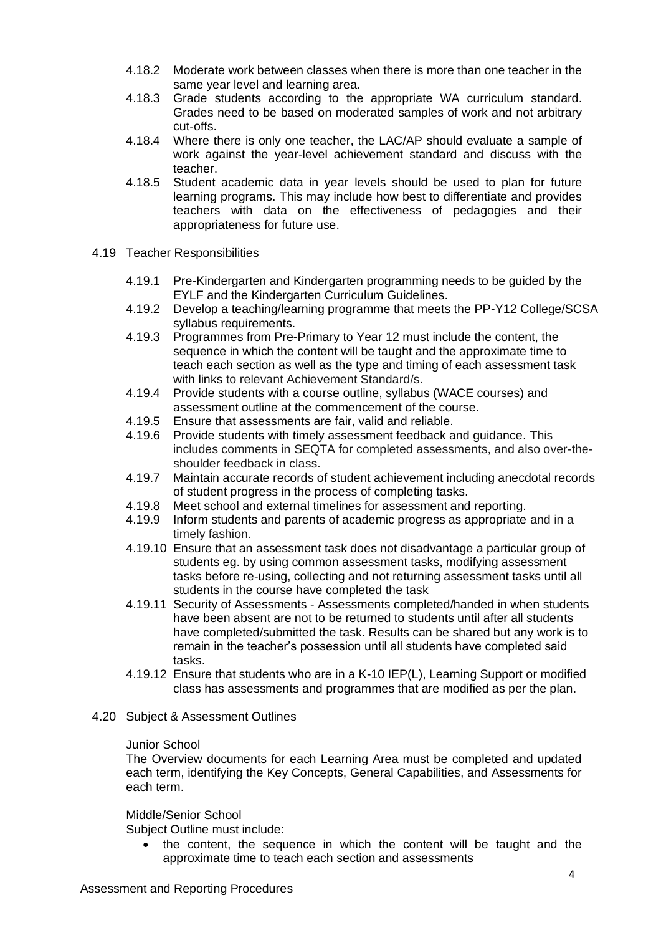- 4.18.2 Moderate work between classes when there is more than one teacher in the same year level and learning area.
- 4.18.3 Grade students according to the appropriate WA curriculum standard. Grades need to be based on moderated samples of work and not arbitrary cut-offs.
- 4.18.4 Where there is only one teacher, the LAC/AP should evaluate a sample of work against the year-level achievement standard and discuss with the teacher.
- 4.18.5 Student academic data in year levels should be used to plan for future learning programs. This may include how best to differentiate and provides teachers with data on the effectiveness of pedagogies and their appropriateness for future use.
- 4.19 Teacher Responsibilities
	- 4.19.1 Pre-Kindergarten and Kindergarten programming needs to be guided by the EYLF and the Kindergarten Curriculum Guidelines.
	- 4.19.2 Develop a teaching/learning programme that meets the PP-Y12 College/SCSA syllabus requirements.
	- 4.19.3 Programmes from Pre-Primary to Year 12 must include the content, the sequence in which the content will be taught and the approximate time to teach each section as well as the type and timing of each assessment task with links to relevant Achievement Standard/s.
	- 4.19.4 Provide students with a course outline, syllabus (WACE courses) and assessment outline at the commencement of the course.
	- 4.19.5 Ensure that assessments are fair, valid and reliable.
	- 4.19.6 Provide students with timely assessment feedback and guidance. This includes comments in SEQTA for completed assessments, and also over-theshoulder feedback in class.
	- 4.19.7 Maintain accurate records of student achievement including anecdotal records of student progress in the process of completing tasks.
	- 4.19.8 Meet school and external timelines for assessment and reporting.
	- 4.19.9 Inform students and parents of academic progress as appropriate and in a timely fashion.
	- 4.19.10 Ensure that an assessment task does not disadvantage a particular group of students eg. by using common assessment tasks, modifying assessment tasks before re-using, collecting and not returning assessment tasks until all students in the course have completed the task
	- 4.19.11 Security of Assessments Assessments completed/handed in when students have been absent are not to be returned to students until after all students have completed/submitted the task. Results can be shared but any work is to remain in the teacher's possession until all students have completed said tasks.
	- 4.19.12 Ensure that students who are in a K-10 IEP(L), Learning Support or modified class has assessments and programmes that are modified as per the plan.
- 4.20 Subject & Assessment Outlines

## Junior School

The Overview documents for each Learning Area must be completed and updated each term, identifying the Key Concepts, General Capabilities, and Assessments for each term.

## Middle/Senior School

Subject Outline must include:

• the content, the sequence in which the content will be taught and the approximate time to teach each section and assessments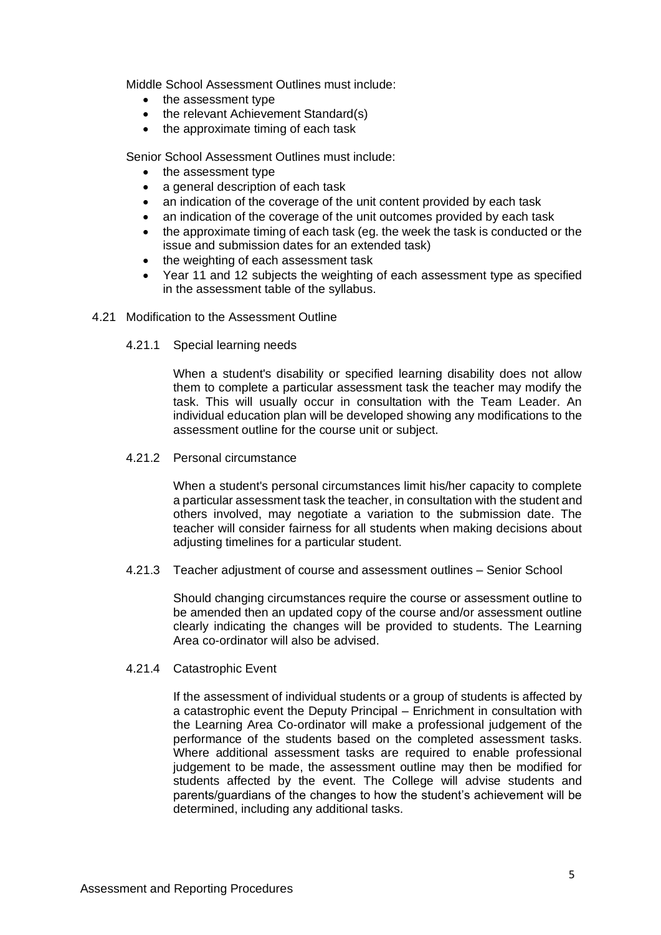Middle School Assessment Outlines must include:

- the assessment type
- the relevant Achievement Standard(s)
- the approximate timing of each task

Senior School Assessment Outlines must include:

- the assessment type
- a general description of each task
- an indication of the coverage of the unit content provided by each task
- an indication of the coverage of the unit outcomes provided by each task
- the approximate timing of each task (eg. the week the task is conducted or the issue and submission dates for an extended task)
- the weighting of each assessment task
- Year 11 and 12 subjects the weighting of each assessment type as specified in the assessment table of the syllabus.
- 4.21 Modification to the Assessment Outline
	- 4.21.1 Special learning needs

When a student's disability or specified learning disability does not allow them to complete a particular assessment task the teacher may modify the task. This will usually occur in consultation with the Team Leader. An individual education plan will be developed showing any modifications to the assessment outline for the course unit or subject.

4.21.2 Personal circumstance

When a student's personal circumstances limit his/her capacity to complete a particular assessment task the teacher, in consultation with the student and others involved, may negotiate a variation to the submission date. The teacher will consider fairness for all students when making decisions about adjusting timelines for a particular student.

4.21.3 Teacher adjustment of course and assessment outlines – Senior School

Should changing circumstances require the course or assessment outline to be amended then an updated copy of the course and/or assessment outline clearly indicating the changes will be provided to students. The Learning Area co-ordinator will also be advised.

4.21.4 Catastrophic Event

If the assessment of individual students or a group of students is affected by a catastrophic event the Deputy Principal – Enrichment in consultation with the Learning Area Co-ordinator will make a professional judgement of the performance of the students based on the completed assessment tasks. Where additional assessment tasks are required to enable professional judgement to be made, the assessment outline may then be modified for students affected by the event. The College will advise students and parents/guardians of the changes to how the student's achievement will be determined, including any additional tasks.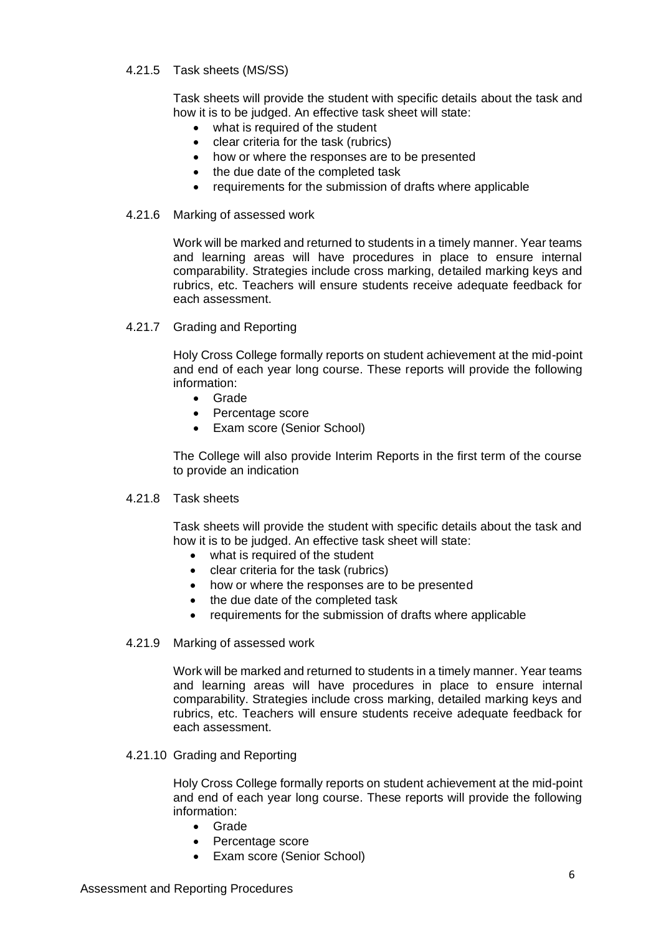# 4.21.5 Task sheets (MS/SS)

Task sheets will provide the student with specific details about the task and how it is to be judged. An effective task sheet will state:

- what is required of the student
- clear criteria for the task (rubrics)
- how or where the responses are to be presented
- the due date of the completed task
- requirements for the submission of drafts where applicable
- 4.21.6 Marking of assessed work

Work will be marked and returned to students in a timely manner. Year teams and learning areas will have procedures in place to ensure internal comparability. Strategies include cross marking, detailed marking keys and rubrics, etc. Teachers will ensure students receive adequate feedback for each assessment.

4.21.7 Grading and Reporting

Holy Cross College formally reports on student achievement at the mid-point and end of each year long course. These reports will provide the following information:

- Grade
- Percentage score
- Exam score (Senior School)

The College will also provide Interim Reports in the first term of the course to provide an indication

## 4.21.8 Task sheets

Task sheets will provide the student with specific details about the task and how it is to be judged. An effective task sheet will state:

- what is required of the student
- clear criteria for the task (rubrics)
- how or where the responses are to be presented
- the due date of the completed task
- requirements for the submission of drafts where applicable
- 4.21.9 Marking of assessed work

Work will be marked and returned to students in a timely manner. Year teams and learning areas will have procedures in place to ensure internal comparability. Strategies include cross marking, detailed marking keys and rubrics, etc. Teachers will ensure students receive adequate feedback for each assessment.

4.21.10 Grading and Reporting

Holy Cross College formally reports on student achievement at the mid-point and end of each year long course. These reports will provide the following information:

- Grade
- Percentage score
- Exam score (Senior School)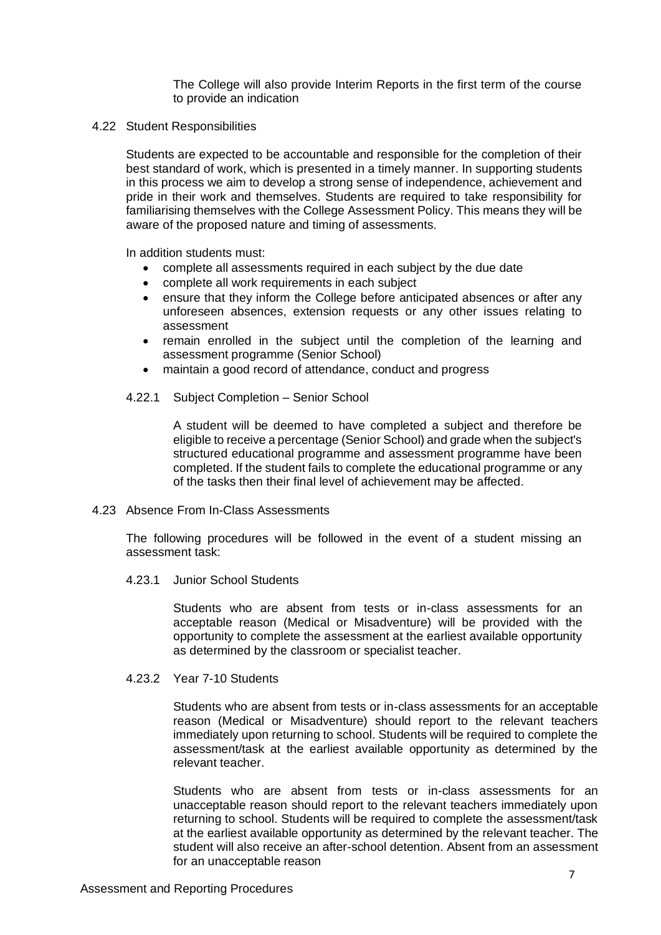The College will also provide Interim Reports in the first term of the course to provide an indication

4.22 Student Responsibilities

Students are expected to be accountable and responsible for the completion of their best standard of work, which is presented in a timely manner. In supporting students in this process we aim to develop a strong sense of independence, achievement and pride in their work and themselves. Students are required to take responsibility for familiarising themselves with the College Assessment Policy. This means they will be aware of the proposed nature and timing of assessments.

In addition students must:

- complete all assessments required in each subject by the due date
- complete all work requirements in each subject
- ensure that they inform the College before anticipated absences or after any unforeseen absences, extension requests or any other issues relating to assessment
- remain enrolled in the subject until the completion of the learning and assessment programme (Senior School)
- maintain a good record of attendance, conduct and progress
- 4.22.1 Subject Completion Senior School

A student will be deemed to have completed a subject and therefore be eligible to receive a percentage (Senior School) and grade when the subject's structured educational programme and assessment programme have been completed. If the student fails to complete the educational programme or any of the tasks then their final level of achievement may be affected.

4.23 Absence From In-Class Assessments

The following procedures will be followed in the event of a student missing an assessment task:

4.23.1 Junior School Students

Students who are absent from tests or in-class assessments for an acceptable reason (Medical or Misadventure) will be provided with the opportunity to complete the assessment at the earliest available opportunity as determined by the classroom or specialist teacher.

4.23.2 Year 7-10 Students

Students who are absent from tests or in-class assessments for an acceptable reason (Medical or Misadventure) should report to the relevant teachers immediately upon returning to school. Students will be required to complete the assessment/task at the earliest available opportunity as determined by the relevant teacher.

Students who are absent from tests or in-class assessments for an unacceptable reason should report to the relevant teachers immediately upon returning to school. Students will be required to complete the assessment/task at the earliest available opportunity as determined by the relevant teacher. The student will also receive an after-school detention. Absent from an assessment for an unacceptable reason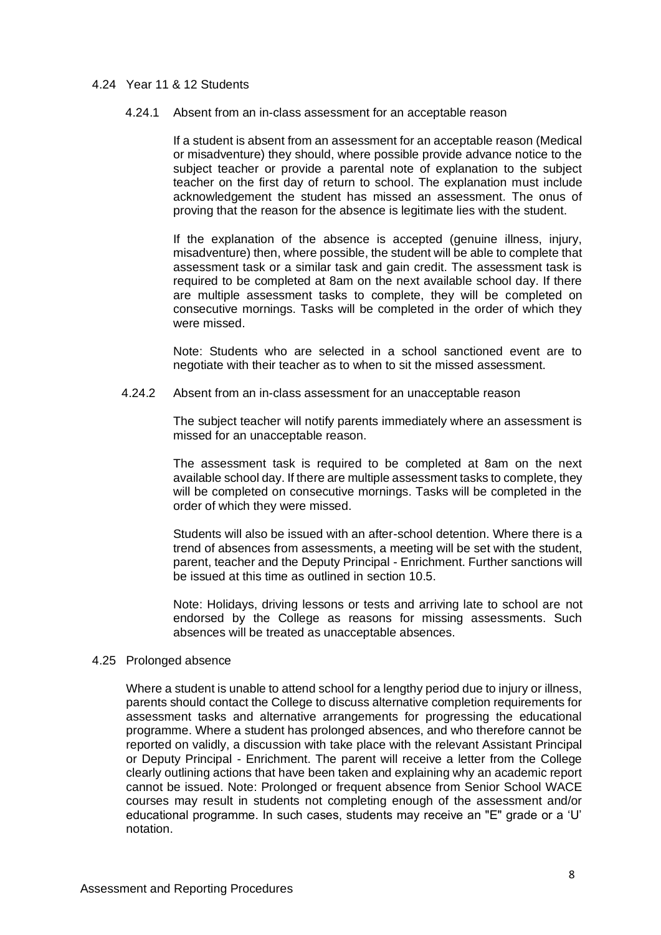# 4.24 Year 11 & 12 Students

### 4.24.1 Absent from an in-class assessment for an acceptable reason

If a student is absent from an assessment for an acceptable reason (Medical or misadventure) they should, where possible provide advance notice to the subject teacher or provide a parental note of explanation to the subject teacher on the first day of return to school. The explanation must include acknowledgement the student has missed an assessment. The onus of proving that the reason for the absence is legitimate lies with the student.

If the explanation of the absence is accepted (genuine illness, injury, misadventure) then, where possible, the student will be able to complete that assessment task or a similar task and gain credit. The assessment task is required to be completed at 8am on the next available school day. If there are multiple assessment tasks to complete, they will be completed on consecutive mornings. Tasks will be completed in the order of which they were missed.

Note: Students who are selected in a school sanctioned event are to negotiate with their teacher as to when to sit the missed assessment.

4.24.2 Absent from an in-class assessment for an unacceptable reason

The subject teacher will notify parents immediately where an assessment is missed for an unacceptable reason.

The assessment task is required to be completed at 8am on the next available school day. If there are multiple assessment tasks to complete, they will be completed on consecutive mornings. Tasks will be completed in the order of which they were missed.

Students will also be issued with an after-school detention. Where there is a trend of absences from assessments, a meeting will be set with the student, parent, teacher and the Deputy Principal - Enrichment. Further sanctions will be issued at this time as outlined in section 10.5.

Note: Holidays, driving lessons or tests and arriving late to school are not endorsed by the College as reasons for missing assessments. Such absences will be treated as unacceptable absences.

#### 4.25 Prolonged absence

Where a student is unable to attend school for a lengthy period due to injury or illness, parents should contact the College to discuss alternative completion requirements for assessment tasks and alternative arrangements for progressing the educational programme. Where a student has prolonged absences, and who therefore cannot be reported on validly, a discussion with take place with the relevant Assistant Principal or Deputy Principal - Enrichment. The parent will receive a letter from the College clearly outlining actions that have been taken and explaining why an academic report cannot be issued. Note: Prolonged or frequent absence from Senior School WACE courses may result in students not completing enough of the assessment and/or educational programme. In such cases, students may receive an "E" grade or a 'U' notation.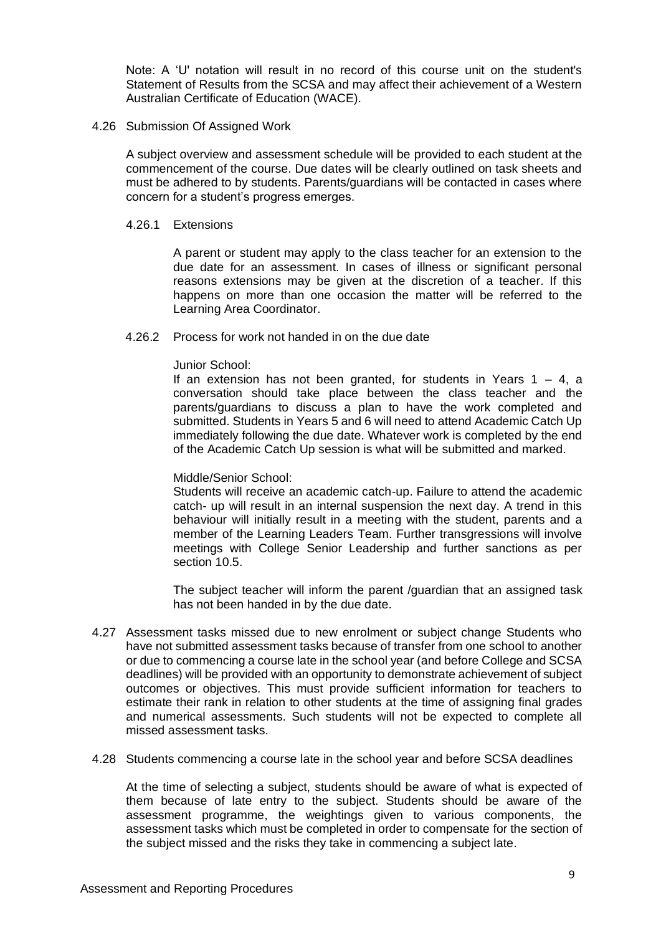Note: A 'U' notation will result in no record of this course unit on the student's Statement of Results from the SCSA and may affect their achievement of a Western Australian Certificate of Education (WACE).

4.26 Submission Of Assigned Work

A subject overview and assessment schedule will be provided to each student at the commencement of the course. Due dates will be clearly outlined on task sheets and must be adhered to by students. Parents/guardians will be contacted in cases where concern for a student's progress emerges.

4.26.1 Extensions

A parent or student may apply to the class teacher for an extension to the due date for an assessment. In cases of illness or significant personal reasons extensions may be given at the discretion of a teacher. If this happens on more than one occasion the matter will be referred to the Learning Area Coordinator.

4.26.2 Process for work not handed in on the due date

## Junior School:

If an extension has not been granted, for students in Years  $1 - 4$ , a conversation should take place between the class teacher and the parents/guardians to discuss a plan to have the work completed and submitted. Students in Years 5 and 6 will need to attend Academic Catch Up immediately following the due date. Whatever work is completed by the end of the Academic Catch Up session is what will be submitted and marked.

## Middle/Senior School:

Students will receive an academic catch-up. Failure to attend the academic catch- up will result in an internal suspension the next day. A trend in this behaviour will initially result in a meeting with the student, parents and a member of the Learning Leaders Team. Further transgressions will involve meetings with College Senior Leadership and further sanctions as per section 10.5.

The subject teacher will inform the parent /guardian that an assigned task has not been handed in by the due date.

- 4.27 Assessment tasks missed due to new enrolment or subject change Students who have not submitted assessment tasks because of transfer from one school to another or due to commencing a course late in the school year (and before College and SCSA deadlines) will be provided with an opportunity to demonstrate achievement of subject outcomes or objectives. This must provide sufficient information for teachers to estimate their rank in relation to other students at the time of assigning final grades and numerical assessments. Such students will not be expected to complete all missed assessment tasks.
- 4.28 Students commencing a course late in the school year and before SCSA deadlines

At the time of selecting a subject, students should be aware of what is expected of them because of late entry to the subject. Students should be aware of the assessment programme, the weightings given to various components, the assessment tasks which must be completed in order to compensate for the section of the subject missed and the risks they take in commencing a subject late.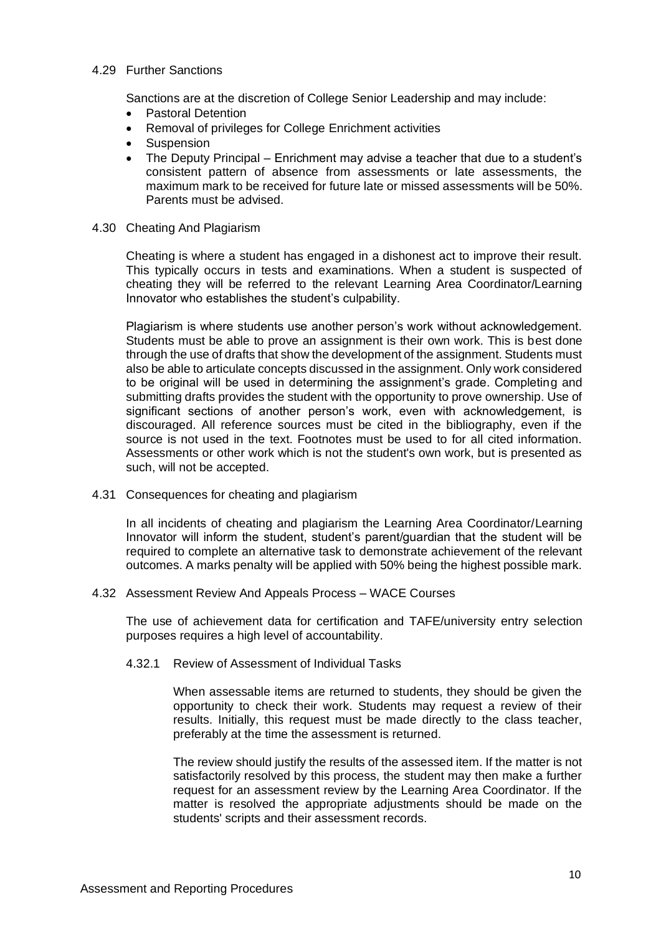# 4.29 Further Sanctions

Sanctions are at the discretion of College Senior Leadership and may include:

- Pastoral Detention
- Removal of privileges for College Enrichment activities
- **Suspension**
- The Deputy Principal Enrichment may advise a teacher that due to a student's consistent pattern of absence from assessments or late assessments, the maximum mark to be received for future late or missed assessments will be 50%. Parents must be advised.
- 4.30 Cheating And Plagiarism

Cheating is where a student has engaged in a dishonest act to improve their result. This typically occurs in tests and examinations. When a student is suspected of cheating they will be referred to the relevant Learning Area Coordinator/Learning Innovator who establishes the student's culpability.

Plagiarism is where students use another person's work without acknowledgement. Students must be able to prove an assignment is their own work. This is best done through the use of drafts that show the development of the assignment. Students must also be able to articulate concepts discussed in the assignment. Only work considered to be original will be used in determining the assignment's grade. Completing and submitting drafts provides the student with the opportunity to prove ownership. Use of significant sections of another person's work, even with acknowledgement, is discouraged. All reference sources must be cited in the bibliography, even if the source is not used in the text. Footnotes must be used to for all cited information. Assessments or other work which is not the student's own work, but is presented as such, will not be accepted.

4.31 Consequences for cheating and plagiarism

In all incidents of cheating and plagiarism the Learning Area Coordinator/Learning Innovator will inform the student, student's parent/guardian that the student will be required to complete an alternative task to demonstrate achievement of the relevant outcomes. A marks penalty will be applied with 50% being the highest possible mark.

4.32 Assessment Review And Appeals Process – WACE Courses

The use of achievement data for certification and TAFE/university entry selection purposes requires a high level of accountability.

4.32.1 Review of Assessment of Individual Tasks

When assessable items are returned to students, they should be given the opportunity to check their work. Students may request a review of their results. Initially, this request must be made directly to the class teacher, preferably at the time the assessment is returned.

The review should justify the results of the assessed item. If the matter is not satisfactorily resolved by this process, the student may then make a further request for an assessment review by the Learning Area Coordinator. If the matter is resolved the appropriate adjustments should be made on the students' scripts and their assessment records.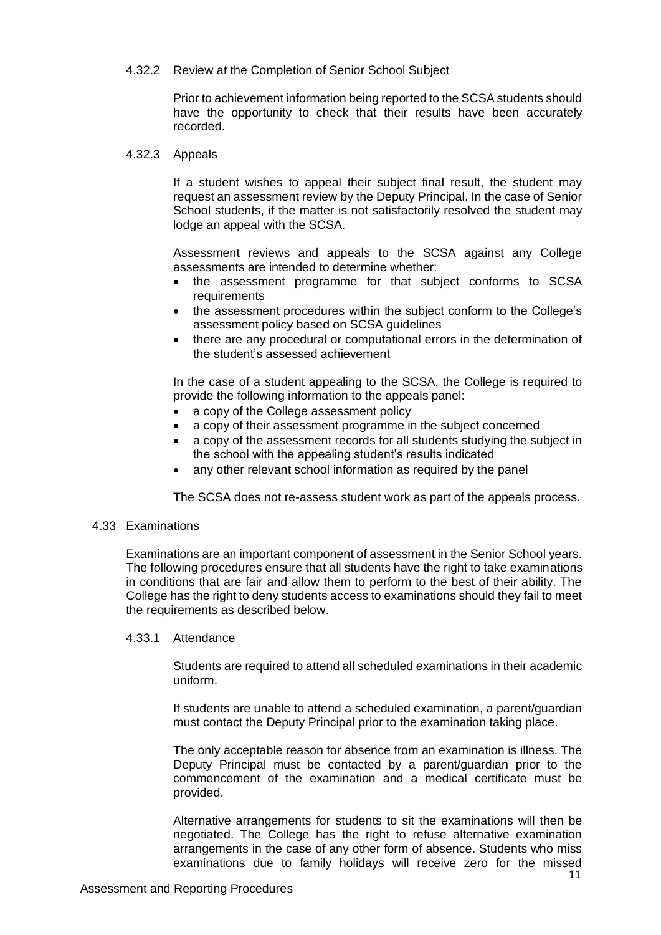# 4.32.2 Review at the Completion of Senior School Subject

Prior to achievement information being reported to the SCSA students should have the opportunity to check that their results have been accurately recorded.

## 4.32.3 Appeals

If a student wishes to appeal their subject final result, the student may request an assessment review by the Deputy Principal. In the case of Senior School students, if the matter is not satisfactorily resolved the student may lodge an appeal with the SCSA.

Assessment reviews and appeals to the SCSA against any College assessments are intended to determine whether:

- the assessment programme for that subject conforms to SCSA requirements
- the assessment procedures within the subject conform to the College's assessment policy based on SCSA guidelines
- there are any procedural or computational errors in the determination of the student's assessed achievement

In the case of a student appealing to the SCSA, the College is required to provide the following information to the appeals panel:

- a copy of the College assessment policy
- a copy of their assessment programme in the subject concerned
- a copy of the assessment records for all students studying the subject in the school with the appealing student's results indicated
- any other relevant school information as required by the panel

The SCSA does not re-assess student work as part of the appeals process.

## 4.33 Examinations

Examinations are an important component of assessment in the Senior School years. The following procedures ensure that all students have the right to take examinations in conditions that are fair and allow them to perform to the best of their ability. The College has the right to deny students access to examinations should they fail to meet the requirements as described below.

## 4.33.1 Attendance

Students are required to attend all scheduled examinations in their academic uniform.

If students are unable to attend a scheduled examination, a parent/guardian must contact the Deputy Principal prior to the examination taking place.

The only acceptable reason for absence from an examination is illness. The Deputy Principal must be contacted by a parent/guardian prior to the commencement of the examination and a medical certificate must be provided.

Alternative arrangements for students to sit the examinations will then be negotiated. The College has the right to refuse alternative examination arrangements in the case of any other form of absence. Students who miss examinations due to family holidays will receive zero for the missed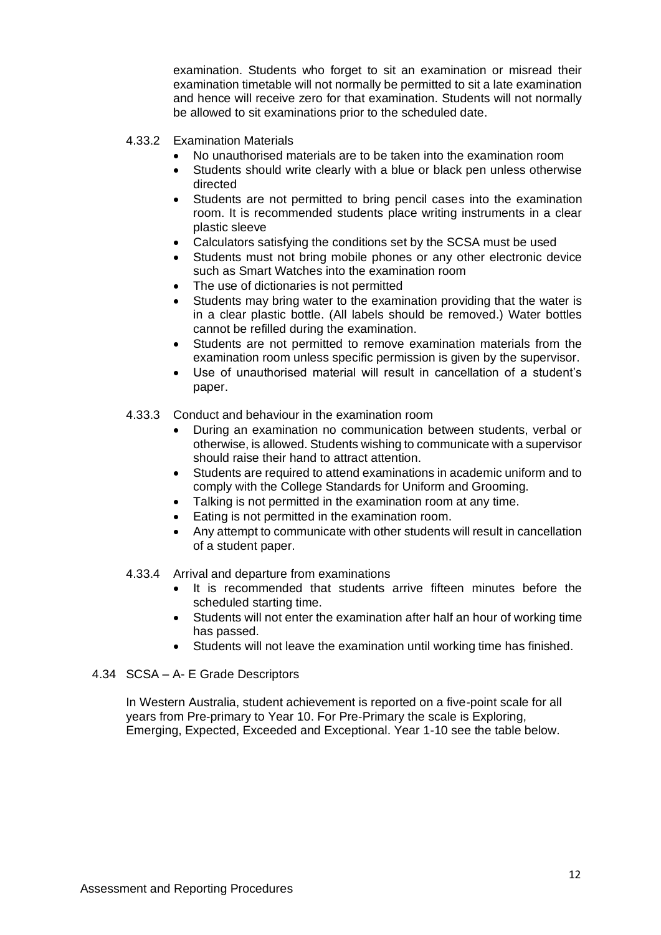examination. Students who forget to sit an examination or misread their examination timetable will not normally be permitted to sit a late examination and hence will receive zero for that examination. Students will not normally be allowed to sit examinations prior to the scheduled date.

- 4.33.2 Examination Materials
	- No unauthorised materials are to be taken into the examination room
	- Students should write clearly with a blue or black pen unless otherwise directed
	- Students are not permitted to bring pencil cases into the examination room. It is recommended students place writing instruments in a clear plastic sleeve
	- Calculators satisfying the conditions set by the SCSA must be used
	- Students must not bring mobile phones or any other electronic device such as Smart Watches into the examination room
	- The use of dictionaries is not permitted
	- Students may bring water to the examination providing that the water is in a clear plastic bottle. (All labels should be removed.) Water bottles cannot be refilled during the examination.
	- Students are not permitted to remove examination materials from the examination room unless specific permission is given by the supervisor.
	- Use of unauthorised material will result in cancellation of a student's paper.
- 4.33.3 Conduct and behaviour in the examination room
	- During an examination no communication between students, verbal or otherwise, is allowed. Students wishing to communicate with a supervisor should raise their hand to attract attention.
	- Students are required to attend examinations in academic uniform and to comply with the College Standards for Uniform and Grooming.
	- Talking is not permitted in the examination room at any time.
	- Eating is not permitted in the examination room.
	- Any attempt to communicate with other students will result in cancellation of a student paper.

# 4.33.4 Arrival and departure from examinations

- It is recommended that students arrive fifteen minutes before the scheduled starting time.
- Students will not enter the examination after half an hour of working time has passed.
- Students will not leave the examination until working time has finished.

# 4.34 SCSA – A- E Grade Descriptors

In Western Australia, student achievement is reported on a five-point scale for all years from Pre-primary to Year 10. For Pre-Primary the scale is Exploring, Emerging, Expected, Exceeded and Exceptional. Year 1-10 see the table below.